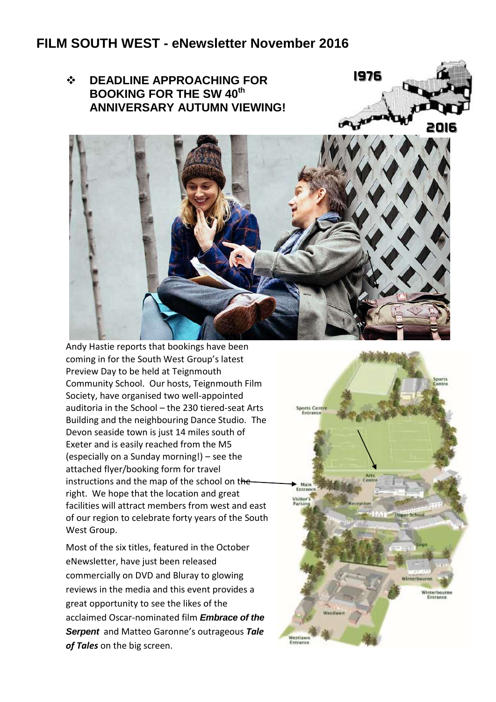## **FILM SOUTH WEST - eNewsletter November 2016**







Andy Hastie reports that bookings have been coming in for the South West Group's latest Preview Day to be held at Teignmouth Community School. Our hosts, Teignmouth Film Society, have organised two well-appointed auditoria in the School – the 230 tiered-seat Arts Building and the neighbouring Dance Studio. The Devon seaside town is just 14 miles south of Exeter and is easily reached from the M5 (especially on a Sunday morning!) – see the attached flyer/booking form for travel instructions and the map of the school on theright. We hope that the location and great facilities will attract members from west and east of our region to celebrate forty years of the South West Group.

Most of the six titles, featured in the October eNewsletter, have just been released commercially on DVD and Bluray to glowing reviews in the media and this event provides a great opportunity to see the likes of the acclaimed Oscar-nominated film *Embrace of the Serpent* and Matteo Garonne's outrageous *Tale of Tales* on the big screen.

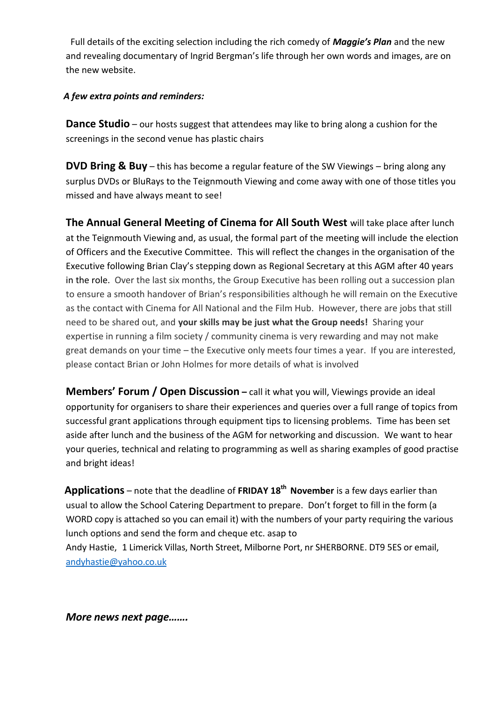Full details of the exciting selection including the rich comedy of *Maggie's Plan* and the new and revealing documentary of Ingrid Bergman's life through her own words and images, are on the new website.

## *A few extra points and reminders:*

**Dance Studio** – our hosts suggest that attendees may like to bring along a cushion for the screenings in the second venue has plastic chairs

**DVD Bring & Buy** – this has become a regular feature of the SW Viewings – bring along any surplus DVDs or BluRays to the Teignmouth Viewing and come away with one of those titles you missed and have always meant to see!

**The Annual General Meeting of Cinema for All South West** will take place after lunch at the Teignmouth Viewing and, as usual, the formal part of the meeting will include the election of Officers and the Executive Committee. This will reflect the changes in the organisation of the Executive following Brian Clay's stepping down as Regional Secretary at this AGM after 40 years in the role. Over the last six months, the Group Executive has been rolling out a succession plan to ensure a smooth handover of Brian's responsibilities although he will remain on the Executive as the contact with Cinema for All National and the Film Hub. However, there are jobs that still need to be shared out, and **your skills may be just what the Group needs!** Sharing your expertise in running a film society / community cinema is very rewarding and may not make great demands on your time – the Executive only meets four times a year. If you are interested, please contact Brian or John Holmes for more details of what is involved

**Members' Forum / Open Discussion** – call it what you will, Viewings provide an ideal opportunity for organisers to share their experiences and queries over a full range of topics from successful grant applications through equipment tips to licensing problems. Time has been set aside after lunch and the business of the AGM for networking and discussion. We want to hear your queries, technical and relating to programming as well as sharing examples of good practise and bright ideas!

 **Applications** – note that the deadline of **FRIDAY 18th November** is a few days earlier than usual to allow the School Catering Department to prepare. Don't forget to fill in the form (a WORD copy is attached so you can email it) with the numbers of your party requiring the various lunch options and send the form and cheque etc. asap to Andy Hastie, 1 Limerick Villas, North Street, Milborne Port, nr SHERBORNE. DT9 5ES or email, [andyhastie@yahoo.co.uk](mailto:andyhastie@yahoo.co.uk)

*More news next page…….*